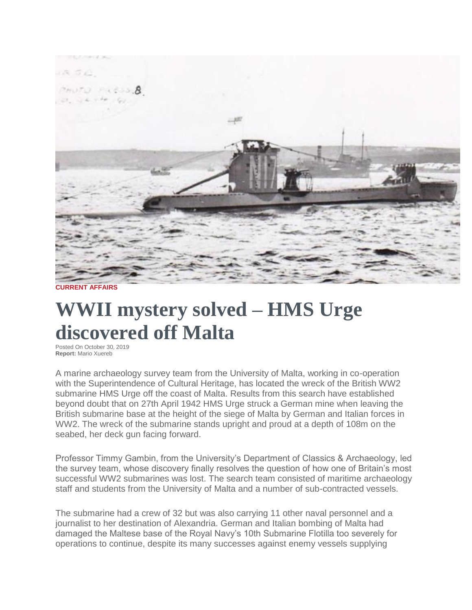

**CURRENT AFFAIRS**

## **WWII mystery solved – HMS Urge discovered off Malta**

Posted On October 30, 2019 **Report:** Mario Xuereb

A marine archaeology survey team from the University of Malta, working in co-operation with the Superintendence of Cultural Heritage, has located the wreck of the British WW2 submarine HMS Urge off the coast of Malta. Results from this search have established beyond doubt that on 27th April 1942 HMS Urge struck a German mine when leaving the British submarine base at the height of the siege of Malta by German and Italian forces in WW2. The wreck of the submarine stands upright and proud at a depth of 108m on the seabed, her deck gun facing forward.

Professor Timmy Gambin, from the University's Department of Classics & Archaeology, led the survey team, whose discovery finally resolves the question of how one of Britain's most successful WW2 submarines was lost. The search team consisted of maritime archaeology staff and students from the University of Malta and a number of sub-contracted vessels.

The submarine had a crew of 32 but was also carrying 11 other naval personnel and a journalist to her destination of Alexandria. German and Italian bombing of Malta had damaged the Maltese base of the Royal Navy's 10th Submarine Flotilla too severely for operations to continue, despite its many successes against enemy vessels supplying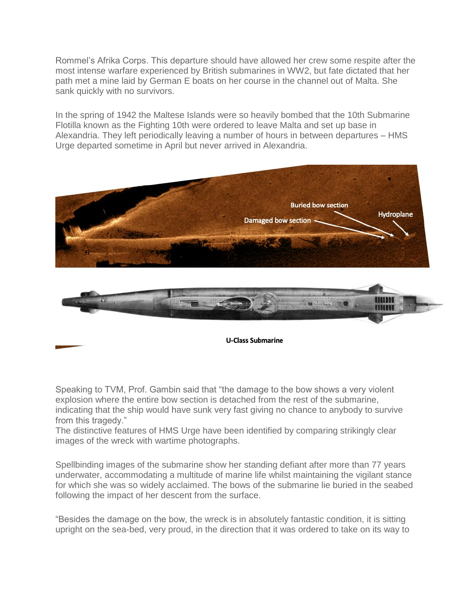Rommel's Afrika Corps. This departure should have allowed her crew some respite after the most intense warfare experienced by British submarines in WW2, but fate dictated that her path met a mine laid by German E boats on her course in the channel out of Malta. She sank quickly with no survivors.

In the spring of 1942 the Maltese Islands were so heavily bombed that the 10th Submarine Flotilla known as the Fighting 10th were ordered to leave Malta and set up base in Alexandria. They left periodically leaving a number of hours in between departures – HMS Urge departed sometime in April but never arrived in Alexandria.



Speaking to TVM, Prof. Gambin said that "the damage to the bow shows a very violent explosion where the entire bow section is detached from the rest of the submarine, indicating that the ship would have sunk very fast giving no chance to anybody to survive from this tragedy."

The distinctive features of HMS Urge have been identified by comparing strikingly clear images of the wreck with wartime photographs.

Spellbinding images of the submarine show her standing defiant after more than 77 years underwater, accommodating a multitude of marine life whilst maintaining the vigilant stance for which she was so widely acclaimed. The bows of the submarine lie buried in the seabed following the impact of her descent from the surface.

"Besides the damage on the bow, the wreck is in absolutely fantastic condition, it is sitting upright on the sea-bed, very proud, in the direction that it was ordered to take on its way to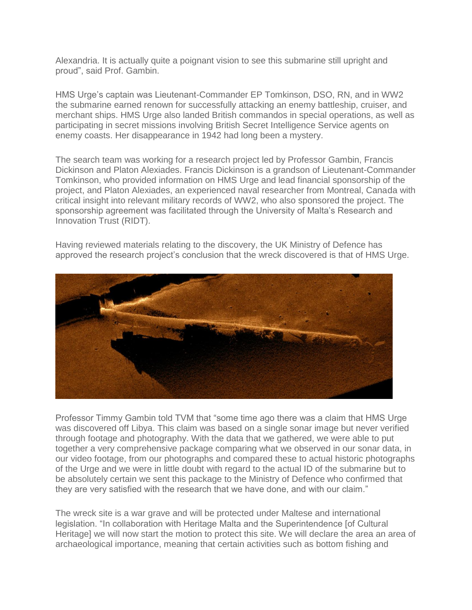Alexandria. It is actually quite a poignant vision to see this submarine still upright and proud", said Prof. Gambin.

HMS Urge's captain was Lieutenant-Commander EP Tomkinson, DSO, RN, and in WW2 the submarine earned renown for successfully attacking an enemy battleship, cruiser, and merchant ships. HMS Urge also landed British commandos in special operations, as well as participating in secret missions involving British Secret Intelligence Service agents on enemy coasts. Her disappearance in 1942 had long been a mystery.

The search team was working for a research project led by Professor Gambin, Francis Dickinson and Platon Alexiades. Francis Dickinson is a grandson of Lieutenant-Commander Tomkinson, who provided information on HMS Urge and lead financial sponsorship of the project, and Platon Alexiades, an experienced naval researcher from Montreal, Canada with critical insight into relevant military records of WW2, who also sponsored the project. The sponsorship agreement was facilitated through the University of Malta's Research and Innovation Trust (RIDT).

Having reviewed materials relating to the discovery, the UK Ministry of Defence has approved the research project's conclusion that the wreck discovered is that of HMS Urge.



Professor Timmy Gambin told TVM that "some time ago there was a claim that HMS Urge was discovered off Libya. This claim was based on a single sonar image but never verified through footage and photography. With the data that we gathered, we were able to put together a very comprehensive package comparing what we observed in our sonar data, in our video footage, from our photographs and compared these to actual historic photographs of the Urge and we were in little doubt with regard to the actual ID of the submarine but to be absolutely certain we sent this package to the Ministry of Defence who confirmed that they are very satisfied with the research that we have done, and with our claim."

The wreck site is a war grave and will be protected under Maltese and international legislation. "In collaboration with Heritage Malta and the Superintendence [of Cultural Heritage] we will now start the motion to protect this site. We will declare the area an area of archaeological importance, meaning that certain activities such as bottom fishing and